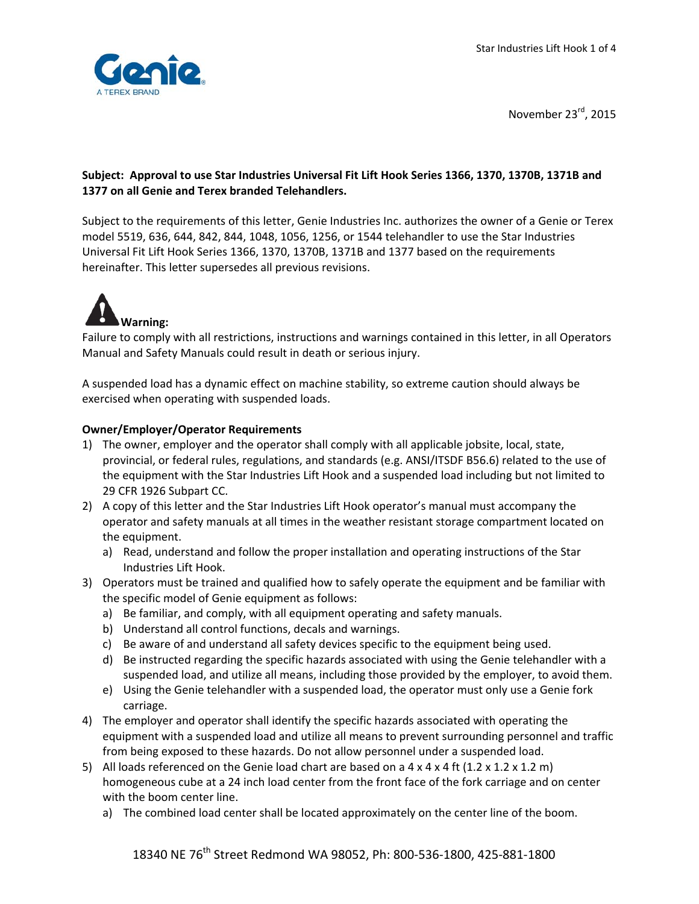

November 23rd, 2015

# **Subject: Approval to use Star Industries Universal Fit Lift Hook Series 1366, 1370, 1370B, 1371B and 1377 on all Genie and Terex branded Telehandlers.**

Subject to the requirements of this letter, Genie Industries Inc. authorizes the owner of a Genie or Terex model 5519, 636, 644, 842, 844, 1048, 1056, 1256, or 1544 telehandler to use the Star Industries Universal Fit Lift Hook Series 1366, 1370, 1370B, 1371B and 1377 based on the requirements hereinafter. This letter supersedes all previous revisions.



Failure to comply with all restrictions, instructions and warnings contained in this letter, in all Operators Manual and Safety Manuals could result in death or serious injury.

A suspended load has a dynamic effect on machine stability, so extreme caution should always be exercised when operating with suspended loads.

#### **Owner/Employer/Operator Requirements**

- 1) The owner, employer and the operator shall comply with all applicable jobsite, local, state, provincial, or federal rules, regulations, and standards (e.g. ANSI/ITSDF B56.6) related to the use of the equipment with the Star Industries Lift Hook and a suspended load including but not limited to 29 CFR 1926 Subpart CC.
- 2) A copy of this letter and the Star Industries Lift Hook operator's manual must accompany the operator and safety manuals at all times in the weather resistant storage compartment located on the equipment.
	- a) Read, understand and follow the proper installation and operating instructions of the Star Industries Lift Hook.
- 3) Operators must be trained and qualified how to safely operate the equipment and be familiar with the specific model of Genie equipment as follows:
	- a) Be familiar, and comply, with all equipment operating and safety manuals.
	- b) Understand all control functions, decals and warnings.
	- c) Be aware of and understand all safety devices specific to the equipment being used.
	- d) Be instructed regarding the specific hazards associated with using the Genie telehandler with a suspended load, and utilize all means, including those provided by the employer, to avoid them.
	- e) Using the Genie telehandler with a suspended load, the operator must only use a Genie fork carriage.
- 4) The employer and operator shall identify the specific hazards associated with operating the equipment with a suspended load and utilize all means to prevent surrounding personnel and traffic from being exposed to these hazards. Do not allow personnel under a suspended load.
- 5) All loads referenced on the Genie load chart are based on a  $4 \times 4 \times 4$  ft (1.2  $\times$  1.2  $\times$  1.2 m) homogeneous cube at a 24 inch load center from the front face of the fork carriage and on center with the boom center line.
	- a) The combined load center shall be located approximately on the center line of the boom.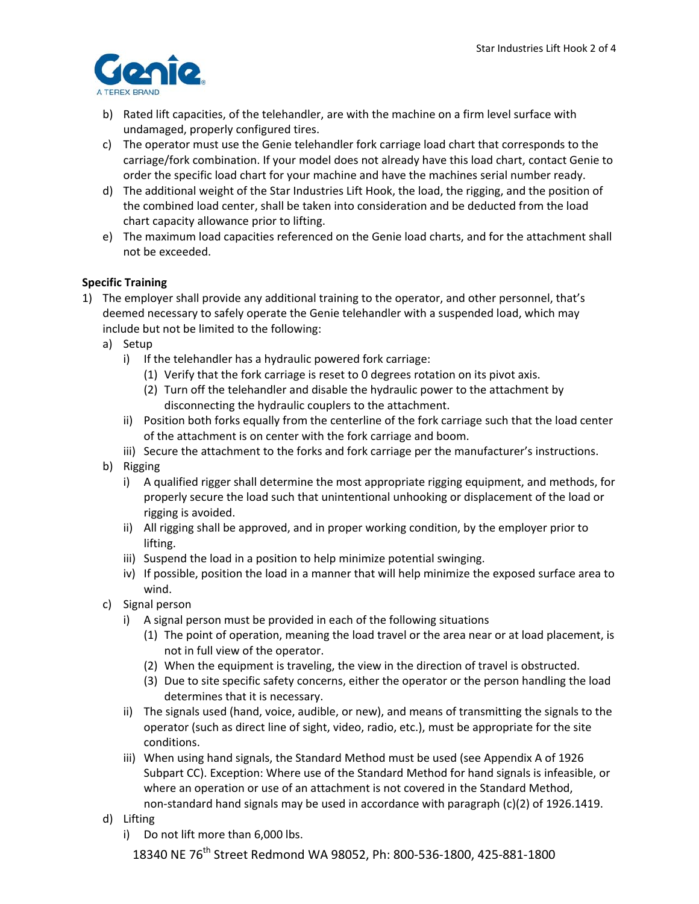

- b) Rated lift capacities, of the telehandler, are with the machine on a firm level surface with undamaged, properly configured tires.
- c) The operator must use the Genie telehandler fork carriage load chart that corresponds to the carriage/fork combination. If your model does not already have this load chart, contact Genie to order the specific load chart for your machine and have the machines serial number ready.
- d) The additional weight of the Star Industries Lift Hook, the load, the rigging, and the position of the combined load center, shall be taken into consideration and be deducted from the load chart capacity allowance prior to lifting.
- e) The maximum load capacities referenced on the Genie load charts, and for the attachment shall not be exceeded.

# **Specific Training**

- 1) The employer shall provide any additional training to the operator, and other personnel, that's deemed necessary to safely operate the Genie telehandler with a suspended load, which may include but not be limited to the following:
	- a) Setup
		- i) If the telehandler has a hydraulic powered fork carriage:
			- (1) Verify that the fork carriage is reset to 0 degrees rotation on its pivot axis.
			- (2) Turn off the telehandler and disable the hydraulic power to the attachment by disconnecting the hydraulic couplers to the attachment.
		- ii) Position both forks equally from the centerline of the fork carriage such that the load center of the attachment is on center with the fork carriage and boom.
		- iii) Secure the attachment to the forks and fork carriage per the manufacturer's instructions.
	- b) Rigging
		- i) A qualified rigger shall determine the most appropriate rigging equipment, and methods, for properly secure the load such that unintentional unhooking or displacement of the load or rigging is avoided.
		- ii) All rigging shall be approved, and in proper working condition, by the employer prior to lifting.
		- iii) Suspend the load in a position to help minimize potential swinging.
		- iv) If possible, position the load in a manner that will help minimize the exposed surface area to wind.
	- c) Signal person
		- i) A signal person must be provided in each of the following situations
			- (1) The point of operation, meaning the load travel or the area near or at load placement, is not in full view of the operator.
			- (2) When the equipment is traveling, the view in the direction of travel is obstructed.
			- (3) Due to site specific safety concerns, either the operator or the person handling the load determines that it is necessary.
		- ii) The signals used (hand, voice, audible, or new), and means of transmitting the signals to the operator (such as direct line of sight, video, radio, etc.), must be appropriate for the site conditions.
		- iii) When using hand signals, the Standard Method must be used (see Appendix A of 1926 Subpart CC). Exception: Where use of the Standard Method for hand signals is infeasible, or where an operation or use of an attachment is not covered in the Standard Method, non‐standard hand signals may be used in accordance with paragraph (c)(2) of 1926.1419.
	- d) Lifting
		- i) Do not lift more than 6,000 lbs.

18340 NE 76<sup>th</sup> Street Redmond WA 98052, Ph: 800-536-1800, 425-881-1800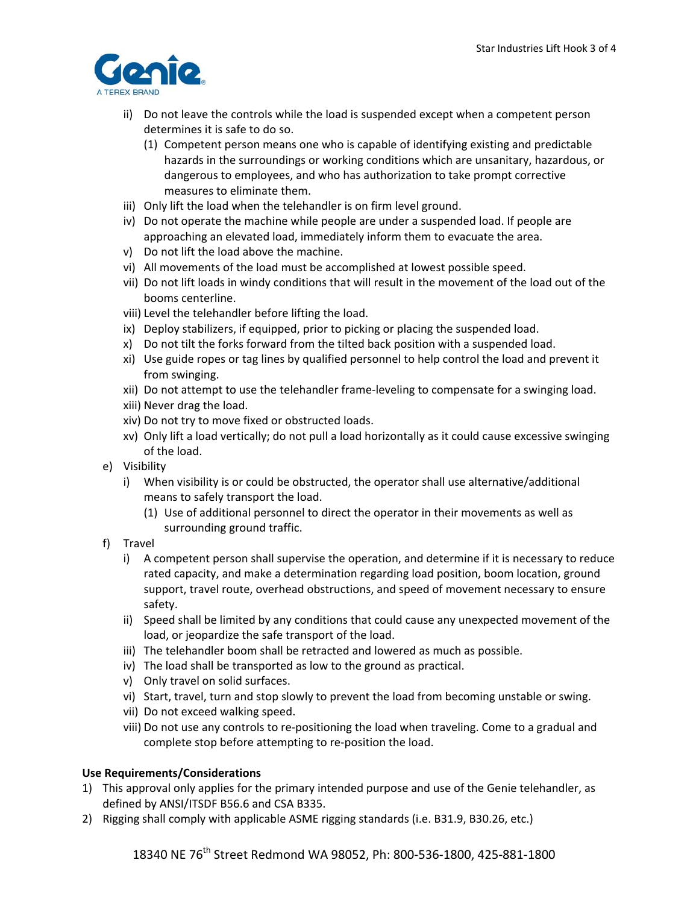

- ii) Do not leave the controls while the load is suspended except when a competent person determines it is safe to do so.
	- (1) Competent person means one who is capable of identifying existing and predictable hazards in the surroundings or working conditions which are unsanitary, hazardous, or dangerous to employees, and who has authorization to take prompt corrective measures to eliminate them.
- iii) Only lift the load when the telehandler is on firm level ground.
- iv) Do not operate the machine while people are under a suspended load. If people are approaching an elevated load, immediately inform them to evacuate the area.
- v) Do not lift the load above the machine.
- vi) All movements of the load must be accomplished at lowest possible speed.
- vii) Do not lift loads in windy conditions that will result in the movement of the load out of the booms centerline.
- viii) Level the telehandler before lifting the load.
- ix) Deploy stabilizers, if equipped, prior to picking or placing the suspended load.
- x) Do not tilt the forks forward from the tilted back position with a suspended load.
- xi) Use guide ropes or tag lines by qualified personnel to help control the load and prevent it from swinging.
- xii) Do not attempt to use the telehandler frame‐leveling to compensate for a swinging load.
- xiii) Never drag the load.
- xiv) Do not try to move fixed or obstructed loads.
- xv) Only lift a load vertically; do not pull a load horizontally as it could cause excessive swinging of the load.
- e) Visibility
	- i) When visibility is or could be obstructed, the operator shall use alternative/additional means to safely transport the load.
		- (1) Use of additional personnel to direct the operator in their movements as well as surrounding ground traffic.
- f) Travel
	- i) A competent person shall supervise the operation, and determine if it is necessary to reduce rated capacity, and make a determination regarding load position, boom location, ground support, travel route, overhead obstructions, and speed of movement necessary to ensure safety.
	- ii) Speed shall be limited by any conditions that could cause any unexpected movement of the load, or jeopardize the safe transport of the load.
	- iii) The telehandler boom shall be retracted and lowered as much as possible.
	- iv) The load shall be transported as low to the ground as practical.
	- v) Only travel on solid surfaces.
	- vi) Start, travel, turn and stop slowly to prevent the load from becoming unstable or swing.
	- vii) Do not exceed walking speed.
	- viii) Do not use any controls to re‐positioning the load when traveling. Come to a gradual and complete stop before attempting to re‐position the load.

### **Use Requirements/Considerations**

- 1) This approval only applies for the primary intended purpose and use of the Genie telehandler, as defined by ANSI/ITSDF B56.6 and CSA B335.
- 2) Rigging shall comply with applicable ASME rigging standards (i.e. B31.9, B30.26, etc.)